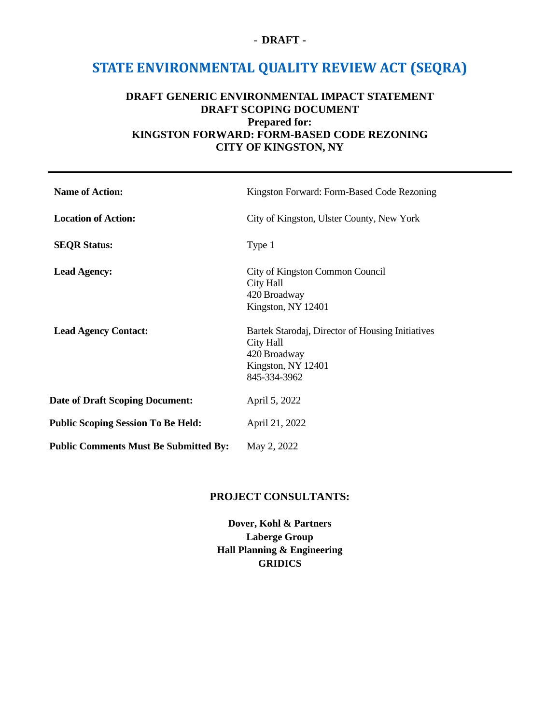#### - **DRAFT -**

# **STATE ENVIRONMENTAL QUALITY REVIEW ACT (SEQRA)**

# **DRAFT GENERIC ENVIRONMENTAL IMPACT STATEMENT DRAFT SCOPING DOCUMENT Prepared for: KINGSTON FORWARD: FORM-BASED CODE REZONING CITY OF KINGSTON, NY**

| <b>Name of Action:</b>                       | Kingston Forward: Form-Based Code Rezoning                                                                          |
|----------------------------------------------|---------------------------------------------------------------------------------------------------------------------|
| <b>Location of Action:</b>                   | City of Kingston, Ulster County, New York                                                                           |
| <b>SEQR Status:</b>                          | Type 1                                                                                                              |
| <b>Lead Agency:</b>                          | City of Kingston Common Council<br>City Hall<br>420 Broadway<br>Kingston, NY 12401                                  |
| <b>Lead Agency Contact:</b>                  | Bartek Starodaj, Director of Housing Initiatives<br>City Hall<br>420 Broadway<br>Kingston, NY 12401<br>845-334-3962 |
| Date of Draft Scoping Document:              | April 5, 2022                                                                                                       |
| <b>Public Scoping Session To Be Held:</b>    | April 21, 2022                                                                                                      |
| <b>Public Comments Must Be Submitted By:</b> | May 2, 2022                                                                                                         |

#### **PROJECT CONSULTANTS:**

**Dover, Kohl & Partners Laberge Group Hall Planning & Engineering GRIDICS**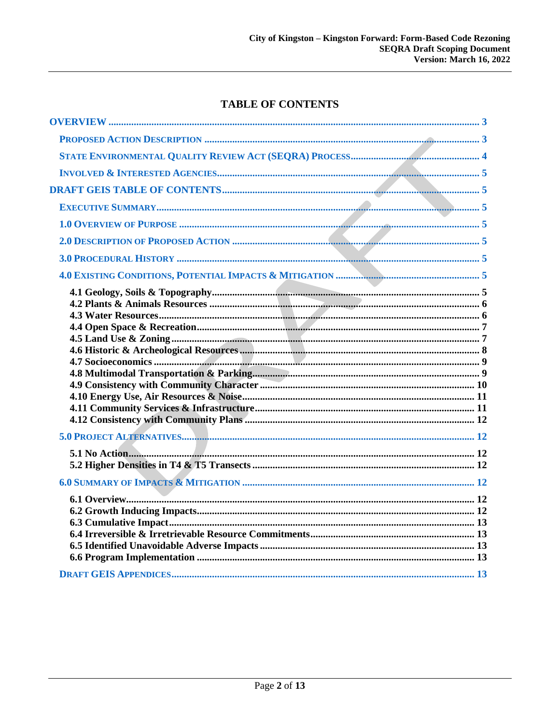# **TABLE OF CONTENTS**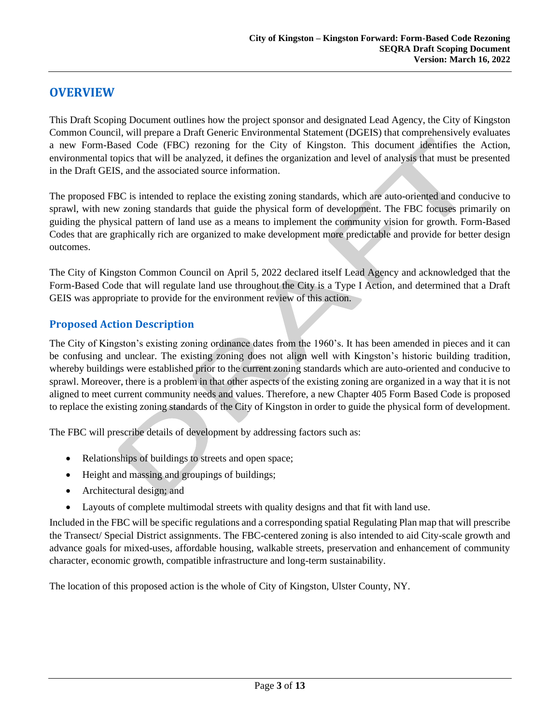# <span id="page-2-0"></span>**OVERVIEW**

This Draft Scoping Document outlines how the project sponsor and designated Lead Agency, the City of Kingston Common Council, will prepare a Draft Generic Environmental Statement (DGEIS) that comprehensively evaluates a new Form-Based Code (FBC) rezoning for the City of Kingston. This document identifies the Action, environmental topics that will be analyzed, it defines the organization and level of analysis that must be presented in the Draft GEIS, and the associated source information.

The proposed FBC is intended to replace the existing zoning standards, which are auto-oriented and conducive to sprawl, with new zoning standards that guide the physical form of development. The FBC focuses primarily on guiding the physical pattern of land use as a means to implement the community vision for growth. Form-Based Codes that are graphically rich are organized to make development more predictable and provide for better design outcomes.

The City of Kingston Common Council on April 5, 2022 declared itself Lead Agency and acknowledged that the Form-Based Code that will regulate land use throughout the City is a Type I Action, and determined that a Draft GEIS was appropriate to provide for the environment review of this action.

# <span id="page-2-1"></span>**Proposed Action Description**

The City of Kingston's existing zoning ordinance dates from the 1960's. It has been amended in pieces and it can be confusing and unclear. The existing zoning does not align well with Kingston's historic building tradition, whereby buildings were established prior to the current zoning standards which are auto-oriented and conducive to sprawl. Moreover, there is a problem in that other aspects of the existing zoning are organized in a way that it is not aligned to meet current community needs and values. Therefore, a new Chapter 405 Form Based Code is proposed to replace the existing zoning standards of the City of Kingston in order to guide the physical form of development.

The FBC will prescribe details of development by addressing factors such as:

- Relationships of buildings to streets and open space;
- Height and massing and groupings of buildings;
- Architectural design; and
- Layouts of complete multimodal streets with quality designs and that fit with land use.

Included in the FBC will be specific regulations and a corresponding spatial Regulating Plan map that will prescribe the Transect/ Special District assignments. The FBC-centered zoning is also intended to aid City-scale growth and advance goals for mixed-uses, affordable housing, walkable streets, preservation and enhancement of community character, economic growth, compatible infrastructure and long-term sustainability.

The location of this proposed action is the whole of City of Kingston, Ulster County, NY.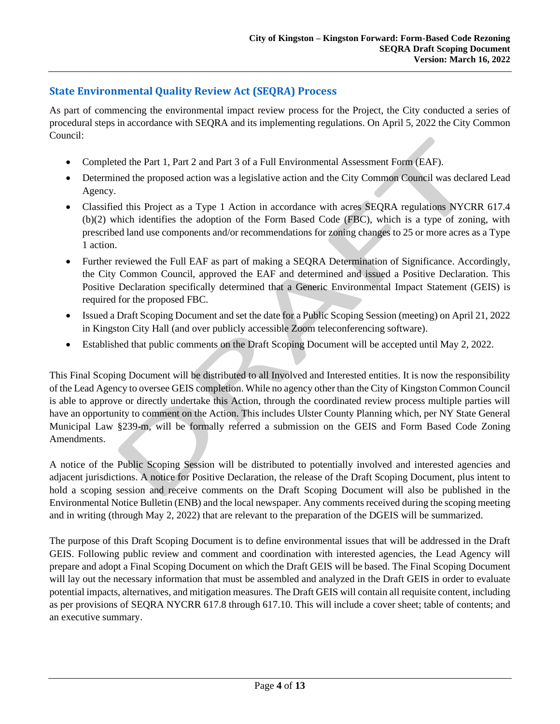# <span id="page-3-0"></span>**State Environmental Quality Review Act (SEQRA) Process**

As part of commencing the environmental impact review process for the Project, the City conducted a series of procedural steps in accordance with SEQRA and its implementing regulations. On April 5, 2022 the City Common Council:

- Completed the Part 1, Part 2 and Part 3 of a Full Environmental Assessment Form (EAF).
- Determined the proposed action was a legislative action and the City Common Council was declared Lead Agency.
- Classified this Project as a Type 1 Action in accordance with acres SEQRA regulations NYCRR 617.4 (b)(2) which identifies the adoption of the Form Based Code (FBC), which is a type of zoning, with prescribed land use components and/or recommendations for zoning changes to 25 or more acres as a Type 1 action.
- Further reviewed the Full EAF as part of making a SEQRA Determination of Significance. Accordingly, the City Common Council, approved the EAF and determined and issued a Positive Declaration. This Positive Declaration specifically determined that a Generic Environmental Impact Statement (GEIS) is required for the proposed FBC.
- Issued a Draft Scoping Document and set the date for a Public Scoping Session (meeting) on April 21, 2022 in Kingston City Hall (and over publicly accessible Zoom teleconferencing software).
- Established that public comments on the Draft Scoping Document will be accepted until May 2, 2022.

This Final Scoping Document will be distributed to all Involved and Interested entities. It is now the responsibility of the Lead Agency to oversee GEIS completion. While no agency other than the City of Kingston Common Council is able to approve or directly undertake this Action, through the coordinated review process multiple parties will have an opportunity to comment on the Action. This includes Ulster County Planning which, per NY State General Municipal Law §239-m, will be formally referred a submission on the GEIS and Form Based Code Zoning Amendments.

A notice of the Public Scoping Session will be distributed to potentially involved and interested agencies and adjacent jurisdictions. A notice for Positive Declaration, the release of the Draft Scoping Document, plus intent to hold a scoping session and receive comments on the Draft Scoping Document will also be published in the Environmental Notice Bulletin (ENB) and the local newspaper. Any comments received during the scoping meeting and in writing (through May 2, 2022) that are relevant to the preparation of the DGEIS will be summarized.

The purpose of this Draft Scoping Document is to define environmental issues that will be addressed in the Draft GEIS. Following public review and comment and coordination with interested agencies, the Lead Agency will prepare and adopt a Final Scoping Document on which the Draft GEIS will be based. The Final Scoping Document will lay out the necessary information that must be assembled and analyzed in the Draft GEIS in order to evaluate potential impacts, alternatives, and mitigation measures. The Draft GEIS will contain all requisite content, including as per provisions of SEQRA NYCRR 617.8 through 617.10. This will include a cover sheet; table of contents; and an executive summary.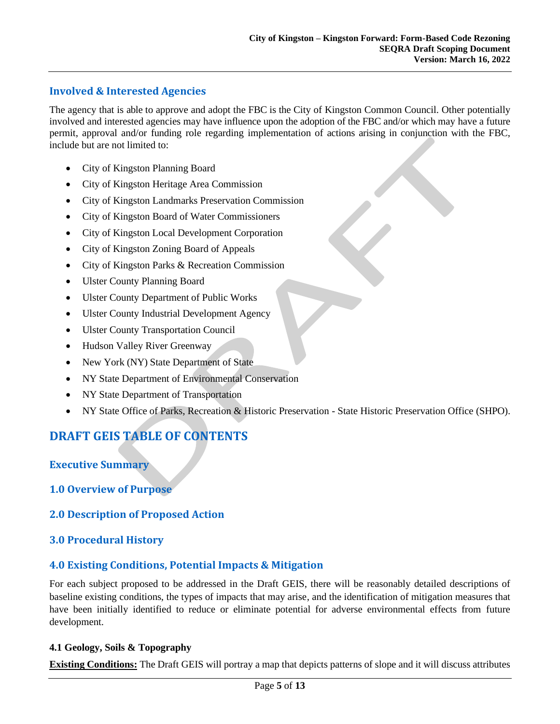## <span id="page-4-0"></span>**Involved & Interested Agencies**

The agency that is able to approve and adopt the FBC is the City of Kingston Common Council. Other potentially involved and interested agencies may have influence upon the adoption of the FBC and/or which may have a future permit, approval and/or funding role regarding implementation of actions arising in conjunction with the FBC, include but are not limited to:

- City of Kingston Planning Board
- City of Kingston Heritage Area Commission
- City of Kingston Landmarks Preservation Commission
- City of Kingston Board of Water Commissioners
- City of Kingston Local Development Corporation
- City of Kingston Zoning Board of Appeals
- City of Kingston Parks & Recreation Commission
- Ulster County Planning Board
- Ulster County Department of Public Works
- Ulster County Industrial Development Agency
- Ulster County Transportation Council
- Hudson Valley River Greenway
- New York (NY) State Department of State
- NY State Department of Environmental Conservation
- NY State Department of Transportation
- NY State Office of Parks, Recreation & Historic Preservation State Historic Preservation Office (SHPO).

# <span id="page-4-1"></span>**DRAFT GEIS TABLE OF CONTENTS**

<span id="page-4-2"></span>**Executive Summary**

#### <span id="page-4-3"></span>**1.0 Overview of Purpose**

#### <span id="page-4-4"></span>**2.0 Description of Proposed Action**

#### <span id="page-4-5"></span>**3.0 Procedural History**

#### <span id="page-4-6"></span>**4.0 Existing Conditions, Potential Impacts & Mitigation**

For each subject proposed to be addressed in the Draft GEIS, there will be reasonably detailed descriptions of baseline existing conditions, the types of impacts that may arise, and the identification of mitigation measures that have been initially identified to reduce or eliminate potential for adverse environmental effects from future development.

#### <span id="page-4-7"></span>**4.1 Geology, Soils & Topography**

**Existing Conditions:** The Draft GEIS will portray a map that depicts patterns of slope and it will discuss attributes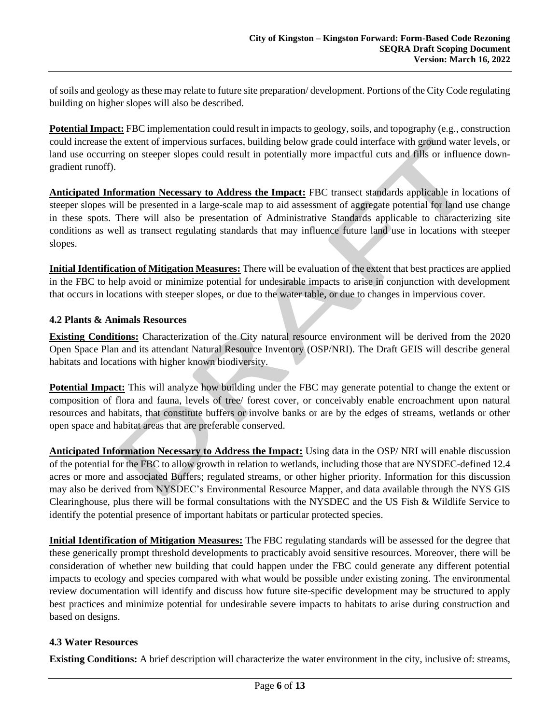of soils and geology as these may relate to future site preparation/ development. Portions of the City Code regulating building on higher slopes will also be described.

**Potential Impact:** FBC implementation could result in impacts to geology, soils, and topography (e.g., construction could increase the extent of impervious surfaces, building below grade could interface with ground water levels, or land use occurring on steeper slopes could result in potentially more impactful cuts and fills or influence downgradient runoff).

**Anticipated Information Necessary to Address the Impact:** FBC transect standards applicable in locations of steeper slopes will be presented in a large-scale map to aid assessment of aggregate potential for land use change in these spots. There will also be presentation of Administrative Standards applicable to characterizing site conditions as well as transect regulating standards that may influence future land use in locations with steeper slopes.

**Initial Identification of Mitigation Measures:** There will be evaluation of the extent that best practices are applied in the FBC to help avoid or minimize potential for undesirable impacts to arise in conjunction with development that occurs in locations with steeper slopes, or due to the water table, or due to changes in impervious cover.

#### <span id="page-5-0"></span>**4.2 Plants & Animals Resources**

**Existing Conditions:** Characterization of the City natural resource environment will be derived from the 2020 Open Space Plan and its attendant Natural Resource Inventory (OSP/NRI). The Draft GEIS will describe general habitats and locations with higher known biodiversity.

**Potential Impact:** This will analyze how building under the FBC may generate potential to change the extent or composition of flora and fauna, levels of tree/ forest cover, or conceivably enable encroachment upon natural resources and habitats, that constitute buffers or involve banks or are by the edges of streams, wetlands or other open space and habitat areas that are preferable conserved.

**Anticipated Information Necessary to Address the Impact:** Using data in the OSP/ NRI will enable discussion of the potential for the FBC to allow growth in relation to wetlands, including those that are NYSDEC-defined 12.4 acres or more and associated Buffers; regulated streams, or other higher priority. Information for this discussion may also be derived from NYSDEC's Environmental Resource Mapper, and data available through the NYS GIS Clearinghouse, plus there will be formal consultations with the NYSDEC and the US Fish & Wildlife Service to identify the potential presence of important habitats or particular protected species.

**Initial Identification of Mitigation Measures:** The FBC regulating standards will be assessed for the degree that these generically prompt threshold developments to practicably avoid sensitive resources. Moreover, there will be consideration of whether new building that could happen under the FBC could generate any different potential impacts to ecology and species compared with what would be possible under existing zoning. The environmental review documentation will identify and discuss how future site-specific development may be structured to apply best practices and minimize potential for undesirable severe impacts to habitats to arise during construction and based on designs.

#### <span id="page-5-1"></span>**4.3 Water Resources**

**Existing Conditions:** A brief description will characterize the water environment in the city, inclusive of: streams,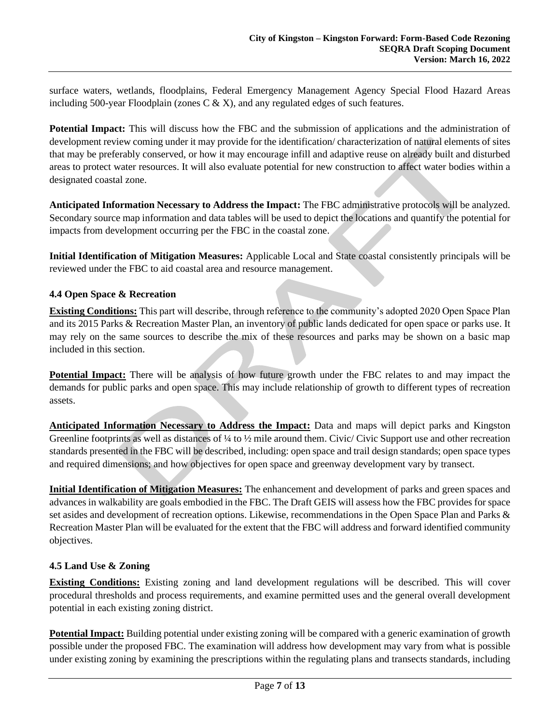surface waters, wetlands, floodplains, Federal Emergency Management Agency Special Flood Hazard Areas including 500-year Floodplain (zones  $C \& X$ ), and any regulated edges of such features.

**Potential Impact:** This will discuss how the FBC and the submission of applications and the administration of development review coming under it may provide for the identification/ characterization of natural elements of sites that may be preferably conserved, or how it may encourage infill and adaptive reuse on already built and disturbed areas to protect water resources. It will also evaluate potential for new construction to affect water bodies within a designated coastal zone.

**Anticipated Information Necessary to Address the Impact:** The FBC administrative protocols will be analyzed. Secondary source map information and data tables will be used to depict the locations and quantify the potential for impacts from development occurring per the FBC in the coastal zone.

**Initial Identification of Mitigation Measures:** Applicable Local and State coastal consistently principals will be reviewed under the FBC to aid coastal area and resource management.

#### <span id="page-6-0"></span>**4.4 Open Space & Recreation**

**Existing Conditions:** This part will describe, through reference to the community's adopted 2020 Open Space Plan and its 2015 Parks & Recreation Master Plan, an inventory of public lands dedicated for open space or parks use. It may rely on the same sources to describe the mix of these resources and parks may be shown on a basic map included in this section.

**Potential Impact:** There will be analysis of how future growth under the FBC relates to and may impact the demands for public parks and open space. This may include relationship of growth to different types of recreation assets.

**Anticipated Information Necessary to Address the Impact:** Data and maps will depict parks and Kingston Greenline footprints as well as distances of  $\frac{1}{4}$  to  $\frac{1}{2}$  mile around them. Civic/ Civic Support use and other recreation standards presented in the FBC will be described, including: open space and trail design standards; open space types and required dimensions; and how objectives for open space and greenway development vary by transect.

**Initial Identification of Mitigation Measures:** The enhancement and development of parks and green spaces and advances in walkability are goals embodied in the FBC. The Draft GEIS will assess how the FBC provides for space set asides and development of recreation options. Likewise, recommendations in the Open Space Plan and Parks & Recreation Master Plan will be evaluated for the extent that the FBC will address and forward identified community objectives.

#### <span id="page-6-1"></span>**4.5 Land Use & Zoning**

**Existing Conditions:** Existing zoning and land development regulations will be described. This will cover procedural thresholds and process requirements, and examine permitted uses and the general overall development potential in each existing zoning district.

**Potential Impact:** Building potential under existing zoning will be compared with a generic examination of growth possible under the proposed FBC. The examination will address how development may vary from what is possible under existing zoning by examining the prescriptions within the regulating plans and transects standards, including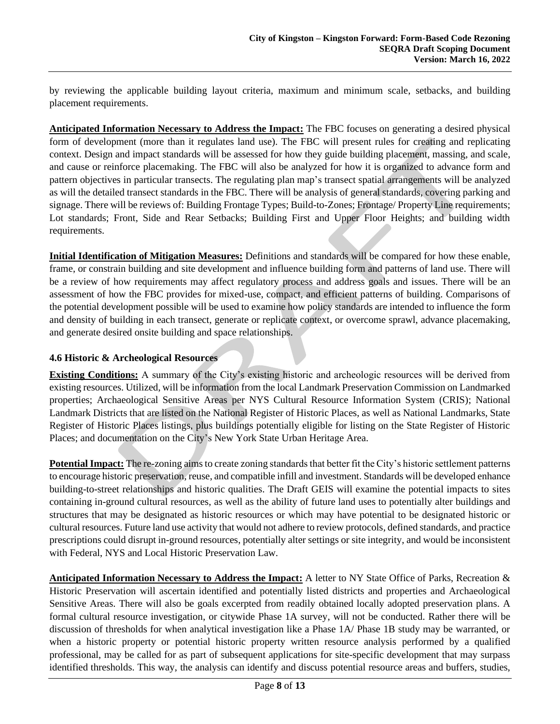by reviewing the applicable building layout criteria, maximum and minimum scale, setbacks, and building placement requirements.

**Anticipated Information Necessary to Address the Impact:** The FBC focuses on generating a desired physical form of development (more than it regulates land use). The FBC will present rules for creating and replicating context. Design and impact standards will be assessed for how they guide building placement, massing, and scale, and cause or reinforce placemaking. The FBC will also be analyzed for how it is organized to advance form and pattern objectives in particular transects. The regulating plan map's transect spatial arrangements will be analyzed as will the detailed transect standards in the FBC. There will be analysis of general standards, covering parking and signage. There will be reviews of: Building Frontage Types; Build-to-Zones; Frontage/ Property Line requirements; Lot standards; Front, Side and Rear Setbacks; Building First and Upper Floor Heights; and building width requirements.

**Initial Identification of Mitigation Measures:** Definitions and standards will be compared for how these enable, frame, or constrain building and site development and influence building form and patterns of land use. There will be a review of how requirements may affect regulatory process and address goals and issues. There will be an assessment of how the FBC provides for mixed-use, compact, and efficient patterns of building. Comparisons of the potential development possible will be used to examine how policy standards are intended to influence the form and density of building in each transect, generate or replicate context, or overcome sprawl, advance placemaking, and generate desired onsite building and space relationships.

#### <span id="page-7-0"></span>**4.6 Historic & Archeological Resources**

**Existing Conditions:** A summary of the City's existing historic and archeologic resources will be derived from existing resources. Utilized, will be information from the local Landmark Preservation Commission on Landmarked properties; Archaeological Sensitive Areas per NYS Cultural Resource Information System (CRIS); National Landmark Districts that are listed on the National Register of Historic Places, as well as National Landmarks, State Register of Historic Places listings, plus buildings potentially eligible for listing on the State Register of Historic Places; and documentation on the City's New York State Urban Heritage Area.

**Potential Impact:** The re-zoning aims to create zoning standards that better fit the City's historic settlement patterns to encourage historic preservation, reuse, and compatible infill and investment. Standards will be developed enhance building-to-street relationships and historic qualities. The Draft GEIS will examine the potential impacts to sites containing in-ground cultural resources, as well as the ability of future land uses to potentially alter buildings and structures that may be designated as historic resources or which may have potential to be designated historic or cultural resources. Future land use activity that would not adhere to review protocols, defined standards, and practice prescriptions could disrupt in-ground resources, potentially alter settings or site integrity, and would be inconsistent with Federal, NYS and Local Historic Preservation Law.

**Anticipated Information Necessary to Address the Impact:** A letter to NY State Office of Parks, Recreation & Historic Preservation will ascertain identified and potentially listed districts and properties and Archaeological Sensitive Areas. There will also be goals excerpted from readily obtained locally adopted preservation plans. A formal cultural resource investigation, or citywide Phase 1A survey, will not be conducted. Rather there will be discussion of thresholds for when analytical investigation like a Phase 1A/ Phase 1B study may be warranted, or when a historic property or potential historic property written resource analysis performed by a qualified professional, may be called for as part of subsequent applications for site-specific development that may surpass identified thresholds. This way, the analysis can identify and discuss potential resource areas and buffers, studies,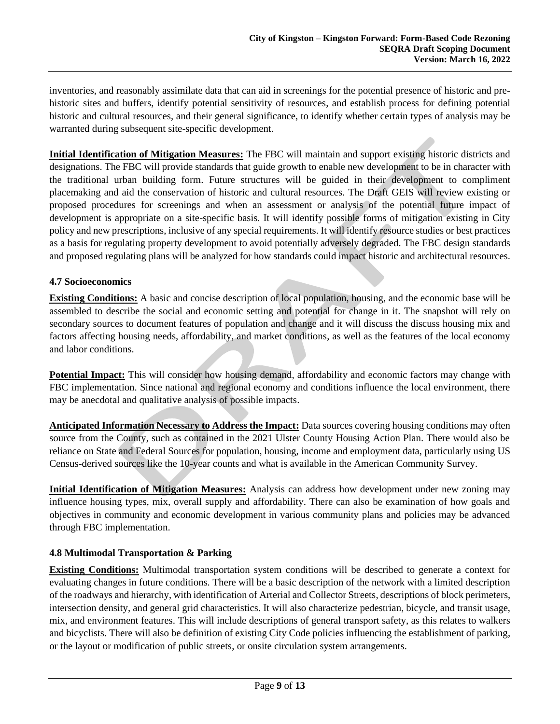inventories, and reasonably assimilate data that can aid in screenings for the potential presence of historic and prehistoric sites and buffers, identify potential sensitivity of resources, and establish process for defining potential historic and cultural resources, and their general significance, to identify whether certain types of analysis may be warranted during subsequent site-specific development.

**Initial Identification of Mitigation Measures:** The FBC will maintain and support existing historic districts and designations. The FBC will provide standards that guide growth to enable new development to be in character with the traditional urban building form. Future structures will be guided in their development to compliment placemaking and aid the conservation of historic and cultural resources. The Draft GEIS will review existing or proposed procedures for screenings and when an assessment or analysis of the potential future impact of development is appropriate on a site-specific basis. It will identify possible forms of mitigation existing in City policy and new prescriptions, inclusive of any special requirements. It will identify resource studies or best practices as a basis for regulating property development to avoid potentially adversely degraded. The FBC design standards and proposed regulating plans will be analyzed for how standards could impact historic and architectural resources.

#### <span id="page-8-0"></span>**4.7 Socioeconomics**

**Existing Conditions:** A basic and concise description of local population, housing, and the economic base will be assembled to describe the social and economic setting and potential for change in it. The snapshot will rely on secondary sources to document features of population and change and it will discuss the discuss housing mix and factors affecting housing needs, affordability, and market conditions, as well as the features of the local economy and labor conditions.

**Potential Impact:** This will consider how housing demand, affordability and economic factors may change with FBC implementation. Since national and regional economy and conditions influence the local environment, there may be anecdotal and qualitative analysis of possible impacts.

**Anticipated Information Necessary to Address the Impact:** Data sources covering housing conditions may often source from the County, such as contained in the 2021 Ulster County Housing Action Plan. There would also be reliance on State and Federal Sources for population, housing, income and employment data, particularly using US Census-derived sources like the 10-year counts and what is available in the American Community Survey.

**Initial Identification of Mitigation Measures:** Analysis can address how development under new zoning may influence housing types, mix, overall supply and affordability. There can also be examination of how goals and objectives in community and economic development in various community plans and policies may be advanced through FBC implementation.

#### <span id="page-8-1"></span>**4.8 Multimodal Transportation & Parking**

**Existing Conditions:** Multimodal transportation system conditions will be described to generate a context for evaluating changes in future conditions. There will be a basic description of the network with a limited description of the roadways and hierarchy, with identification of Arterial and Collector Streets, descriptions of block perimeters, intersection density, and general grid characteristics. It will also characterize pedestrian, bicycle, and transit usage, mix, and environment features. This will include descriptions of general transport safety, as this relates to walkers and bicyclists. There will also be definition of existing City Code policies influencing the establishment of parking, or the layout or modification of public streets, or onsite circulation system arrangements.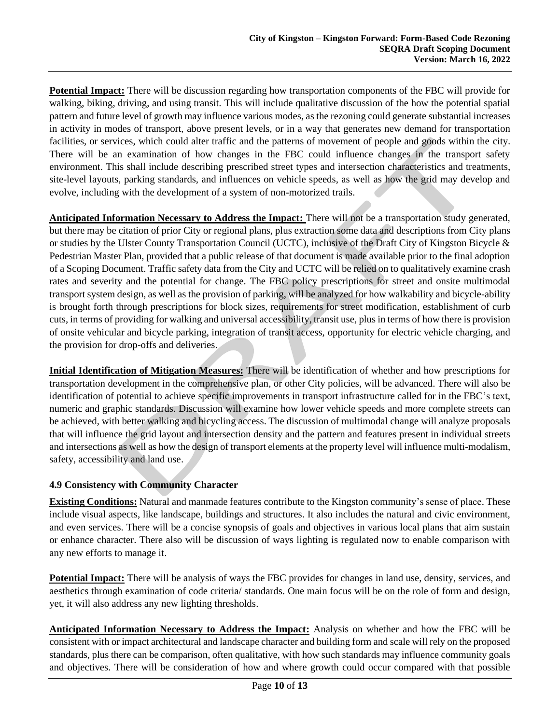**Potential Impact:** There will be discussion regarding how transportation components of the FBC will provide for walking, biking, driving, and using transit. This will include qualitative discussion of the how the potential spatial pattern and future level of growth may influence various modes, as the rezoning could generate substantial increases in activity in modes of transport, above present levels, or in a way that generates new demand for transportation facilities, or services, which could alter traffic and the patterns of movement of people and goods within the city. There will be an examination of how changes in the FBC could influence changes in the transport safety environment. This shall include describing prescribed street types and intersection characteristics and treatments, site-level layouts, parking standards, and influences on vehicle speeds, as well as how the grid may develop and evolve, including with the development of a system of non-motorized trails.

**Anticipated Information Necessary to Address the Impact:** There will not be a transportation study generated, but there may be citation of prior City or regional plans, plus extraction some data and descriptions from City plans or studies by the Ulster County Transportation Council (UCTC), inclusive of the Draft City of Kingston Bicycle & Pedestrian Master Plan, provided that a public release of that document is made available prior to the final adoption of a Scoping Document. Traffic safety data from the City and UCTC will be relied on to qualitatively examine crash rates and severity and the potential for change. The FBC policy prescriptions for street and onsite multimodal transport system design, as well as the provision of parking, will be analyzed for how walkability and bicycle-ability is brought forth through prescriptions for block sizes, requirements for street modification, establishment of curb cuts, in terms of providing for walking and universal accessibility, transit use, plus in terms of how there is provision of onsite vehicular and bicycle parking, integration of transit access, opportunity for electric vehicle charging, and the provision for drop-offs and deliveries.

**Initial Identification of Mitigation Measures:** There will be identification of whether and how prescriptions for transportation development in the comprehensive plan, or other City policies, will be advanced. There will also be identification of potential to achieve specific improvements in transport infrastructure called for in the FBC's text, numeric and graphic standards. Discussion will examine how lower vehicle speeds and more complete streets can be achieved, with better walking and bicycling access. The discussion of multimodal change will analyze proposals that will influence the grid layout and intersection density and the pattern and features present in individual streets and intersections as well as how the design of transport elements at the property level will influence multi-modalism, safety, accessibility and land use.

#### <span id="page-9-0"></span>**4.9 Consistency with Community Character**

**Existing Conditions:** Natural and manmade features contribute to the Kingston community's sense of place. These include visual aspects, like landscape, buildings and structures. It also includes the natural and civic environment, and even services. There will be a concise synopsis of goals and objectives in various local plans that aim sustain or enhance character. There also will be discussion of ways lighting is regulated now to enable comparison with any new efforts to manage it.

**Potential Impact:** There will be analysis of ways the FBC provides for changes in land use, density, services, and aesthetics through examination of code criteria/ standards. One main focus will be on the role of form and design, yet, it will also address any new lighting thresholds.

**Anticipated Information Necessary to Address the Impact:** Analysis on whether and how the FBC will be consistent with or impact architectural and landscape character and building form and scale will rely on the proposed standards, plus there can be comparison, often qualitative, with how such standards may influence community goals and objectives. There will be consideration of how and where growth could occur compared with that possible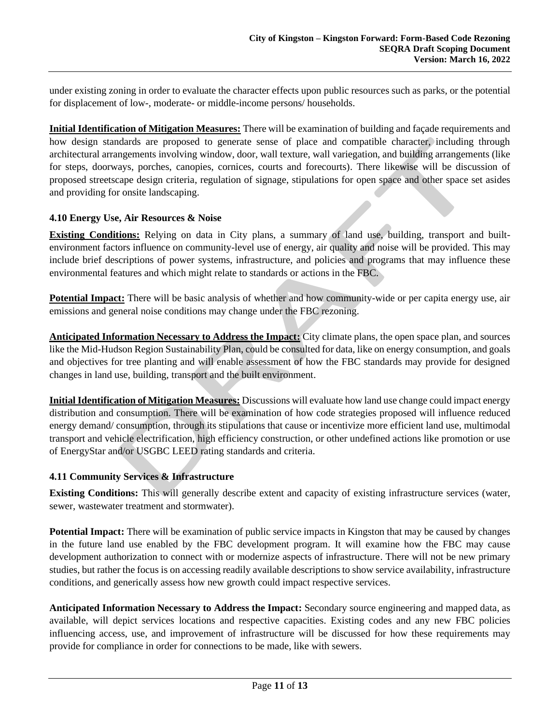under existing zoning in order to evaluate the character effects upon public resources such as parks, or the potential for displacement of low-, moderate- or middle-income persons/ households.

**Initial Identification of Mitigation Measures:** There will be examination of building and façade requirements and how design standards are proposed to generate sense of place and compatible character, including through architectural arrangements involving window, door, wall texture, wall variegation, and building arrangements (like for steps, doorways, porches, canopies, cornices, courts and forecourts). There likewise will be discussion of proposed streetscape design criteria, regulation of signage, stipulations for open space and other space set asides and providing for onsite landscaping.

#### <span id="page-10-0"></span>**4.10 Energy Use, Air Resources & Noise**

**Existing Conditions:** Relying on data in City plans, a summary of land use, building, transport and builtenvironment factors influence on community-level use of energy, air quality and noise will be provided. This may include brief descriptions of power systems, infrastructure, and policies and programs that may influence these environmental features and which might relate to standards or actions in the FBC.

**Potential Impact:** There will be basic analysis of whether and how community-wide or per capita energy use, air emissions and general noise conditions may change under the FBC rezoning.

**Anticipated Information Necessary to Address the Impact:** City climate plans, the open space plan, and sources like the Mid-Hudson Region Sustainability Plan, could be consulted for data, like on energy consumption, and goals and objectives for tree planting and will enable assessment of how the FBC standards may provide for designed changes in land use, building, transport and the built environment.

**Initial Identification of Mitigation Measures:** Discussions will evaluate how land use change could impact energy distribution and consumption. There will be examination of how code strategies proposed will influence reduced energy demand/ consumption, through its stipulations that cause or incentivize more efficient land use, multimodal transport and vehicle electrification, high efficiency construction, or other undefined actions like promotion or use of EnergyStar and/or USGBC LEED rating standards and criteria.

#### <span id="page-10-1"></span>**4.11 Community Services & Infrastructure**

**Existing Conditions:** This will generally describe extent and capacity of existing infrastructure services (water, sewer, wastewater treatment and stormwater).

**Potential Impact:** There will be examination of public service impacts in Kingston that may be caused by changes in the future land use enabled by the FBC development program. It will examine how the FBC may cause development authorization to connect with or modernize aspects of infrastructure. There will not be new primary studies, but rather the focus is on accessing readily available descriptions to show service availability, infrastructure conditions, and generically assess how new growth could impact respective services.

**Anticipated Information Necessary to Address the Impact:** Secondary source engineering and mapped data, as available, will depict services locations and respective capacities. Existing codes and any new FBC policies influencing access, use, and improvement of infrastructure will be discussed for how these requirements may provide for compliance in order for connections to be made, like with sewers.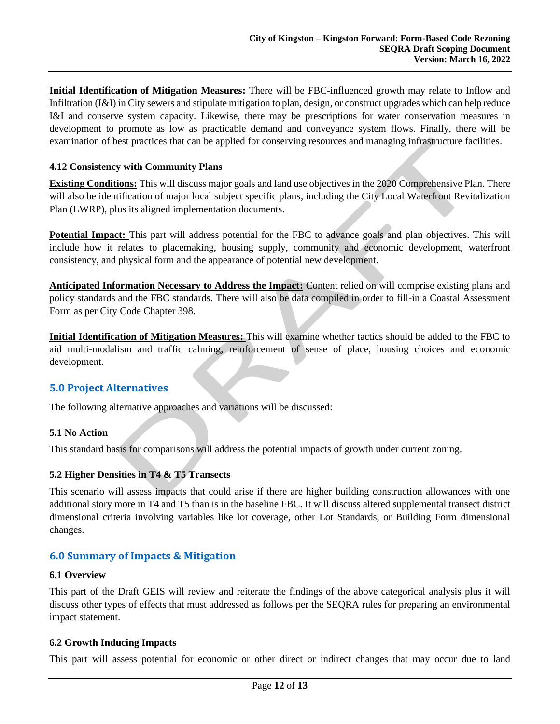**Initial Identification of Mitigation Measures:** There will be FBC-influenced growth may relate to Inflow and Infiltration (I&I) in City sewers and stipulate mitigation to plan, design, or construct upgrades which can help reduce I&I and conserve system capacity. Likewise, there may be prescriptions for water conservation measures in development to promote as low as practicable demand and conveyance system flows. Finally, there will be examination of best practices that can be applied for conserving resources and managing infrastructure facilities.

#### <span id="page-11-0"></span>**4.12 Consistency with Community Plans**

**Existing Conditions:** This will discuss major goals and land use objectives in the 2020 Comprehensive Plan. There will also be identification of major local subject specific plans, including the City Local Waterfront Revitalization Plan (LWRP), plus its aligned implementation documents.

**Potential Impact:** This part will address potential for the FBC to advance goals and plan objectives. This will include how it relates to placemaking, housing supply, community and economic development, waterfront consistency, and physical form and the appearance of potential new development.

**Anticipated Information Necessary to Address the Impact:** Content relied on will comprise existing plans and policy standards and the FBC standards. There will also be data compiled in order to fill-in a Coastal Assessment Form as per City Code Chapter 398.

**Initial Identification of Mitigation Measures:** This will examine whether tactics should be added to the FBC to aid multi-modalism and traffic calming, reinforcement of sense of place, housing choices and economic development.

## <span id="page-11-1"></span>**5.0 Project Alternatives**

The following alternative approaches and variations will be discussed:

#### <span id="page-11-2"></span>**5.1 No Action**

This standard basis for comparisons will address the potential impacts of growth under current zoning.

#### <span id="page-11-3"></span>**5.2 Higher Densities in T4 & T5 Transects**

This scenario will assess impacts that could arise if there are higher building construction allowances with one additional story more in T4 and T5 than is in the baseline FBC. It will discuss altered supplemental transect district dimensional criteria involving variables like lot coverage, other Lot Standards, or Building Form dimensional changes.

## <span id="page-11-4"></span>**6.0 Summary of Impacts & Mitigation**

#### <span id="page-11-5"></span>**6.1 Overview**

This part of the Draft GEIS will review and reiterate the findings of the above categorical analysis plus it will discuss other types of effects that must addressed as follows per the SEQRA rules for preparing an environmental impact statement.

#### <span id="page-11-6"></span>**6.2 Growth Inducing Impacts**

This part will assess potential for economic or other direct or indirect changes that may occur due to land